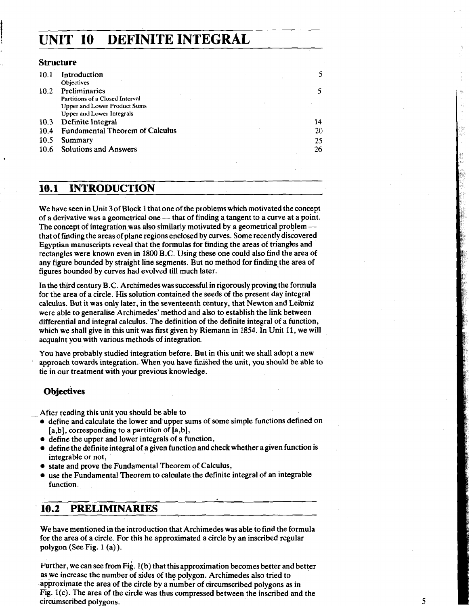# **UNIT 10 DEFINITE INTEGRAL**

#### **Structure**

| 10.1 | Introduction                           |    |
|------|----------------------------------------|----|
|      | <b>Objectives</b>                      |    |
| 10.2 | Preliminaries                          |    |
|      | Partitions of a Closed Interval        |    |
|      | <b>Upper and Lower Product Sums</b>    |    |
|      | Upper and Lower Integrals              |    |
|      | 10.3 Definite Integral                 | 14 |
| 10.4 | <b>Fundamental Theorem of Calculus</b> | 20 |
| 10.5 | Summary                                | 25 |
|      | 10.6 Solutions and Answers             | 26 |

### **10.1 INTRODUCTION**

We have seen in Unit 3 of Block 1 that one of the problems which motivated the concept We have seen in Unit 3 of Block 1 that one of the problems which motivated the concept<br>of a derivative was a geometrical one — that of finding a tangent to a curve at a point. of a derivative was a geometrical one — that of finding a tangent to a curve at a point.<br>The concept of integration was also similarly motivated by a geometrical problem that of finding the areas of plane regions enclosed by curves. Some recently discovered Egyptian manuscripts reveal that the formulas for finding the areas of triangks and rectangles were known even in 1800 B.C. Using these one could also find the area of any figure bounded by straight line segments. But no method for finding-the area of figures bounded by curves had evolved till much later.

In the third century B.C. Archimedes was successful in rigorously proving the formula for the area of a circle. His solution contained the seeds of the present day integral calculus. But it was only later, in the seventeenth century, that Newton and Leibniz were able to generalise Archimedes' method and also to establish the link between differential and integral calculus. The definition of the definite integral of a function, which we shall give in this unit was first given by Riemann in 1854. In Unit 11, we will acquaint you with various methods of integration.

You have probably studied integration before. But in this unit we shall adopt a new approach towards integration. When you have finished the unit, you should be able to tie in our treatment with your previous knowledge.

#### **objectives**

After reading this unit you should be able to

- define and calculate the lower and upper sums of some simple functions defined on  $[a,b]$ , corresponding to a partition of  $[a,b]$ ,
- define the upper and lower integrals of a function,
- $\bullet$  define the definite integral of a given function and check whether a given function is integrable or not,
- state and prove the Fundamental Theorem of Calculus,
- use the Fundamental Theorem to calculate the definite integral of an integrable function.

### ' **10.2 PRELIMINARIES**

We have mentioned in the introduction that Archimedes was able to find the formula for the area of a circle. For this he approximated a circle by an inscribed regular polygon (See Fig. 1 (a)).

Further, we can see from Fig.  $1(b)$  that this approximation becomes better and better as we increase the number of sides of the polygon. Archimedes also tried to .approximate the area of the circle by a number of circumscribed polygons as in Fig. l(c). The area of the circle was thus compressed between the inscribed and the circumscribed polygons.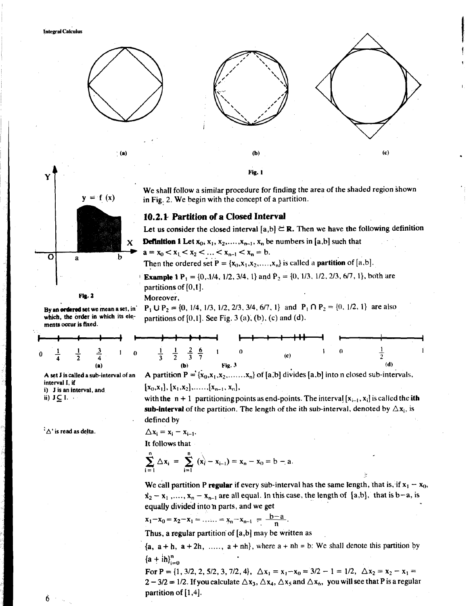Ÿ



 $($ a)



**Fig. I** 

We shall follow a similar procedure for finding the area of the shaded region shown  $y = f(x)$  in Fig. 2. We begin with the concept of a partition.

### 10.2. **l- Partition of a Closed Interval**

Let us consider the closed interval  $[a,b] \subset \mathbb{R}$ . Then we have the following definition

**Definition 1** Let  $x_0$ ,  $x_1$ ,  $x_2$ ,....,  $x_{n-1}$ ,  $x_n$  be numbers in [a,b] such that

Then the ordered set  $P = \{x_0, x_1, x_2, \ldots, x_n\}$  is called a **partition** of [a,b].

**Example 1 P<sub>1</sub> = {0,,1/4, 1/2, 3/4, 1} and P<sub>2</sub> = {0, 1/3, 1/2, 2/3, 6/7, 1}, both are** partitions of [0,1].

**By an ordered set we mean a set. in**  $P_1 \cup P_2 = \{0, 1/4, 1/3, 1/2, 2/3, 3/4, 6/7, 1\}$  and  $P_1 \cap P_2 = \{0, 1/2, 1\}$  are also which, the order in which its ele-<br>nartitions of  $[0, 1]$ . See Fig. 3 (a), (b), (c) and (d). **the in which its** partitions of **[O,I].** See Fig. **3** (a). (b). (c) and (d). **ments occur is fixed.** 

|  |  |  | 1 0 $\frac{1}{3}$ $\frac{1}{2}$ $\frac{2}{3}$ $\frac{6}{7}$ 1 0 |  |  | $\frac{1}{2}$ and $\frac{1}{2}$ and $\frac{1}{2}$ and $\frac{1}{2}$ and $\frac{1}{2}$ and $\frac{1}{2}$ and $\frac{1}{2}$ and $\frac{1}{2}$ and $\frac{1}{2}$ and $\frac{1}{2}$ and $\frac{1}{2}$ and $\frac{1}{2}$ and $\frac{1}{2}$ and $\frac{1}{2}$ and $\frac{1}{2}$ and $\frac{1}{2}$ a |  |
|--|--|--|-----------------------------------------------------------------|--|--|-----------------------------------------------------------------------------------------------------------------------------------------------------------------------------------------------------------------------------------------------------------------------------------------------|--|
|  |  |  |                                                                 |  |  |                                                                                                                                                                                                                                                                                               |  |

**A set J is called a sub-interval of an** A partition  $P = \{x_0, x_1, x_2, \ldots, x_n\}$  of [a,b] divides [a,b] into n closed sub-intervals, **interval I, if iii** J is an interval, and  $[x_0, x_1]$ ,  $[x_1, x_2]$ ,...... $[x_{n-1}, x_n]$ , ii)  $J \subseteq I$ . **. with the n** + 1 partitioning points as end-points. The interval  $[x_{i-1}, x_i]$  is called the ith

 $(a)$ 

 $\Delta x_i = x_i - x_{i-1}$ .

It follows that

defined by

$$
\sum_{i=1}^{n} \Delta x_i = \sum_{i=1}^{n} (x_i - x_{i-1}) = x_n - x_0 = b - a.
$$

We call partition **P regular** if every sub-interval has the same length, that is, if  $x_1 - x_0$ ,  $\mathbf{x}_2 - \mathbf{x}_1, \ldots, \mathbf{x}_n - \mathbf{x}_{n-1}$  are all equal. In this case, the length of [a,b], that is b-a, is

**sub-interval** of the partition. The length of the ith sub-interval, denoted by  $\Delta x_i$ , is

equally divided into n parts, and we get  

$$
x_1-x_0 = x_2-x_1 = \dots = x_n-x_{n-1} = \frac{b-a}{n}
$$
.

Thus, a regular partition of  $[a,b]$  may be written as

 ${a, a+h, a+2h, \ldots, a+nh}$ , where  $a + nh = b$ : We shall denote this partition by  $[a + ih]_{i=0}^{n}$ 

For P = {1, 3/2, 2, 5/2, 3, 7/2, 4},  $\Delta x_1 = x_1 - x_0 = 3/2 - 1 = 1/2$ ,  $\Delta x_2 = x_2 - x_1 =$  $2 - 3/2 = 1/2$ . If you calculate  $\Delta x_3$ ,  $\Delta x_4$ ,  $\Delta x_5$  and  $\Delta x_6$ , you will see that P is a regular partition of **[1,4].** 

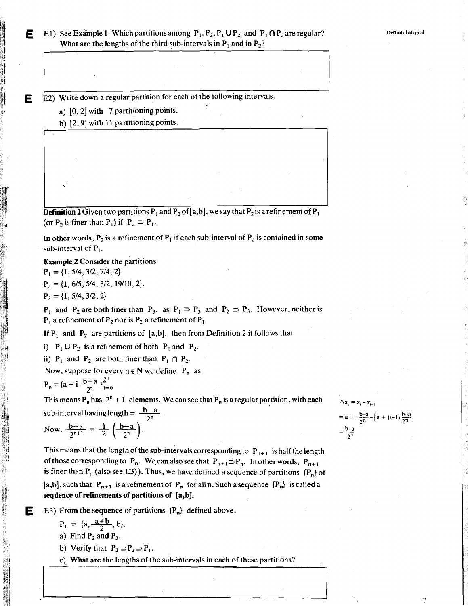**E** El) See Example 1. Which partitions among  $P_1$ ,  $P_2$ ,  $P_1 \cup P_2$  and  $P_1 \cap P_2$  are regular? What are the lengths of the third sub-intervals in  $P_1$  and in  $P_2$ ?

**E** E2) Write down a regular partition for each of the following intervals.

a)  $[0, 2]$  with 7 partitioning points.

b) **[2,9]** with 11 partitioning points.

**Definition 2** Given two partitions  $P_1$  and  $P_2$  of [a,b], we say that  $P_2$  is a refinement of  $P_1$ (or P<sub>2</sub> is finer than P<sub>1</sub>) if  $P_2 \supset P_1$ .

In other words,  $P_2$  is a refinement of  $P_1$  if each sub-interval of  $P_2$  is contained in some sub-interval of  $P_1$ .

**Example 2** Consider the partitions

 $P_1 = \{1, 5/4, 3/2, 7/4, 2\},\$ 

 $P_2 = \{1, 6/5, 5/4, 3/2, 19/10, 2\},\$ 

 $P_3 = \{1, 5/4, 3/2, 2\}$ 

**1'** 

 $\mathbf{a}$ 

**:2** 

 $P_1$  and  $P_2$  are both finer than  $P_3$ , as  $P_1 \supset P_3$  and  $P_2 \supset P_3$ . However, neither is  $P_1$  a refinement of  $P_2$  nor is  $P_2$  a refinement of  $P_1$ .

If  $P_1$  and  $P_2$  are partitions of [a,b], then from Definition 2 it follows that

i) P<sub>1</sub> U P<sub>2</sub> is a refinement of both P<sub>1</sub> and P<sub>2</sub>.<br>ii) P<sub>1</sub> and P<sub>2</sub> are both finer than P<sub>1</sub>  $\cap$  P<sub>2</sub>.

Now, suppose for every  $n \in N$  we define  $P_n$  as

$$
P_n = \{a + i \frac{b - a}{2^n}\}_{i=0}^{2^n}
$$

This means  $P_n$  has  $2^n + 1$  elements. We can see that  $P_n$  is a regular partition, with each This means  $P_n$  has  $2^n + 1$  elements. We can see the sub-interval having length =  $\frac{b-a}{2^n}$ .

Now, 
$$
\frac{b-a}{2^{n+1}} = \frac{1}{2} \left( \frac{b-a}{2^n} \right)
$$
.

sub-interval having length =  $\frac{b-a}{2^n}$ .<br>
Now,  $\frac{b-a}{2^{n+1}} = \frac{1}{2} \left( \frac{b-a}{2^n} \right)$ .<br>
This means that the length of the sub-intervals corresponding to  $P_{n+1}$  is half the length<br>
of those corresponding to  $P_n$ . We can [a,b], such that  $P_{n+1}$  is a refinement of  $P_n$  for all n. Such a sequence  $\{P_n\}$  is called a *<sup>r</sup>',* **seqdence of refinements of partitions of [a,b].** 

**E** E3) From the sequence of partitions  $\{P_n\}$  defined above,

$$
P_1 = \{a, \frac{a+b}{2}, b\}.
$$

a) Find  $P_2$  and  $P_3$ .

b) Verify that  $P_3 \supset P_2 \supset P_1$ .

c) What are the lengths of the sub-intervals in each of these partitions?

 $= a + i\frac{b-a}{2^n} - a + (i-1)\frac{b-a}{2^n}$ <br>  $= \frac{b-a}{2^n}$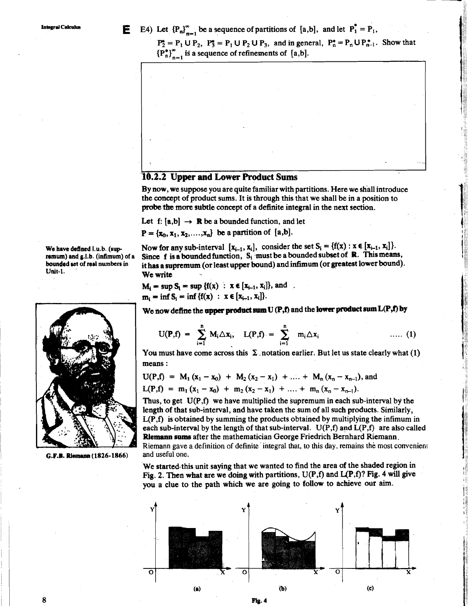$P_2^* = P_1 \cup P_2$ ,  $P_3^* = P_1 \cup P_2 \cup P_3$ , and in general,  $P_n^* = P_n \cup P_{n-1}^*$ . Show that  ${P_n^*}_{n=1}^{\infty}$  is a sequence of refinements of [a,b].



### **10.2.3 Upper and Lower Product Sums**

**By** now, we suppose you are quite familiar with partitions. Here we shall introduce the concept of product sums. It is through this that we shall be in a position to **probe the more subtle concept of a definite integral in the next section.** 

Let  $f: [a,b] \rightarrow \mathbb{R}$  be a bounded function, and let

 $P = \{x_0, x_1, x_2, \ldots, x_n\}$  be a partition of [a,b].

**We have defined 1.u.b. (sup-** Now for any sub-interval  $[x_{i-1}, x_i]$ , consider the set  $S_i = \{f(x) : x \in [x_{i-1}, x_i]\}$ .<br>remum) and g.l.b. (infimum) of a Since f is a bounded function,  $S_i$  must be a bounded subset of **R**. This m **mun)** and g.1. b. (infimum) of a Since f is a bounded function, S<sub>i</sub> must be a bounded subset of R. This means, bounded set of real numbers in it has a suppremum (or least upper bound) and infimum (or greatest lower bound **rounded set of real numbers in** it has a supremum (or least upper bound) and infimum (or greatest lower bound).<br>Unit-1.

$$
M_i = \sup S_i = \sup \{f(x) : x \in [x_{i-1}, x_i]\}, \text{ and } \dots
$$
  
\n
$$
m_i = \inf S_i = \inf \{f(x) : x \in [x_{i-1}, x_i]\}.
$$

We now define the **upper product sum U** (P,f) and the lower product sum L(P,f) by

$$
U(P,f) = \sum_{i=1}^{n} M_i \triangle x_i, \quad L(P,f) = \sum_{i=1}^{n} m_i \triangle x_i \quad \text{.... (1)}
$$

You must have come across this  $\Sigma$ , notation earlier. But let us state clearly what (1) means :

$$
U(P,f) = M_1(x_1 - x_0) + M_2(x_2 - x_1) + .... + M_n(x_n - x_{n-1}),
$$
 and  

$$
L(P,f) = m_1(x_1 - x_0) + m_2(x_2 - x_1) + .... + m_n(x_n - x_{n-1}).
$$

Thus, to get  $U(P, f)$  we have multiplied the supremum in each sub-interval by the length of that sub-interval, and have taken the sum of all such products. Similarly,  $L(P,f)$  is obtained by summing the products obtained by multiplying the infimum in each sub-interval by the length of that sub-interval.  $U(P,f)$  and  $L(P,f)$  are also called **Riemann sums after the mathematician George Friedrich Bernhard Riemann. C.F.B. Riemann gave a definition of definite integral that, to this day, remains the most convenient** G.F.B. **Riemann** (1826-1866) and useful one.

We started this unit saying that we wanted to find the area of the shaded region in Fig. 2. Then what are we doing with partitions,  $U(P,f)$  and  $L(P,f)$ ? Fig. 4 will give you a clue to the path which we are going to follow to achieve our aim.

1 '



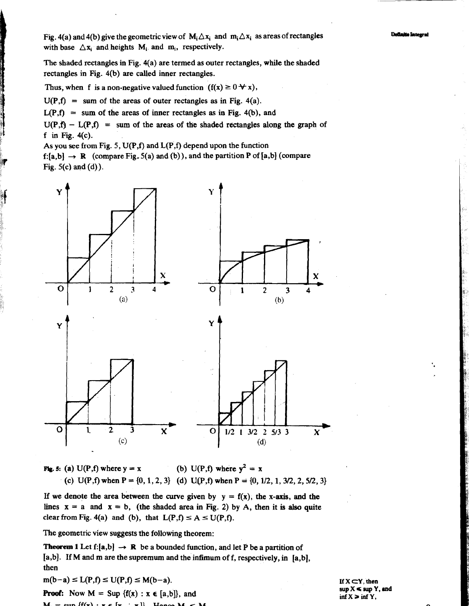Fig. 4(a) and 4(b) give the geometric view of  $M_i \triangle x_i$  and  $m_i \triangle x_i$  as areas of rectangles with base  $\Delta x_i$  and heights  $M_i$  and  $m_i$ , respectively.

The shaded rectangles in Fig. 4(a) are termed as outer rectangles, while the shaded rectangles in Fig.  $4(b)$  are called inner rectangles.

Thus, when f is a non-negative valued function  $(f(x) \ge 0 \forall x)$ ,

 $U(P,f)$  = sum of the areas of outer rectangles as in Fig. 4(a).

 $L(P,f)$  = sum of the areas of inner rectangles as in Fig. 4(b), and

 $U(P,\hat{f}) - L(P,f)$  = sum of the areas of the shaded rectangles along the graph of f in Fig.  $4(c)$ .

As you see from Fig. 5,  $U(P,f)$  and  $L(P,f)$  depend upon the function

Ř,

f:[a,b]  $\rightarrow \mathbb{R}$  (compare Fig. 5(a) and (b)), and the partition P of [a,b] (compare Fig. 5(c) and (d) ).



**Fig. 5:** (a)  $U(P, f)$  where  $y = x$  (b)  $U(P, f)$  where  $y^2 = x$ (c) U(P,f) when P = {0, 1, 2, 3} (d) U(P,f) when P = {0, 1/2, 1, 3/2, 2, 5/2, 3}

If we denote the area between the curve given by  $y = f(x)$ , the x-axis, and the lines  $x = a$  and  $x = b$ , (the shaded area in Fig. 2) by A, then it is also quite clear from Fig. 4(a) and (b), that  $L(P,f) \le A \le U(P,f)$ .

The geometric view suggests the following theorem:

**Theorem 1** Let f:[a,b]  $\rightarrow \mathbb{R}$  be a bounded function, and let P be a partition of [a,b]. If M and m are the supremum and the infimum of f, respectively, in [a,b], then

 $m(b-a) \le L(P,f) \le U(P,f) \le M(b-a).$  **If**  $X \subset Y$ , then

**ii in in in in in in in in in in in in in in in in in in in in in in in in in in in in in in i** 

 $M = \sin f(f(x) \cdot x \in [x + \pi]$  **L L**  $\arctan a \cdot M \neq 1$ 

 $\sup X \leqslant \sup Y$ , and

**Gaite Integral**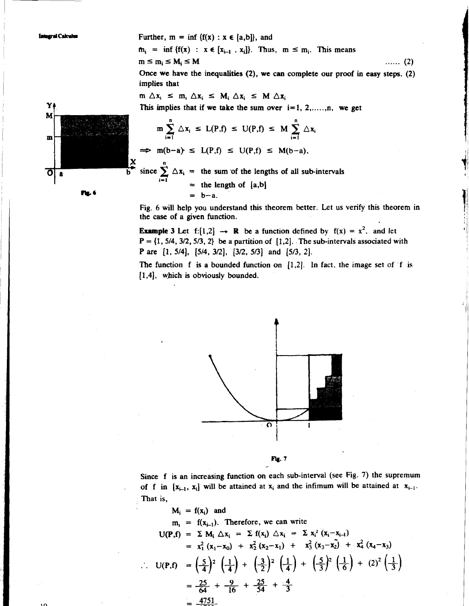**Integral Calculus Further,**  $m = inf \{f(x) : x \in [a,b]\}, and$ 

$$
m_i = \inf \{f(x) : x \in [x_{i-1}, x_i]\}.
$$
 Thus,  $m \le m_i$ . This means

 $m \leq m_i \leq M_i \leq M$  ...... (2)

Once we have the inequalities **(2),** we can complete our proof in easy steps. (2) implies that

 $m \Delta x_i \leq m_i \Delta x_i \leq M_i \Delta x_i \leq M \Delta x_i$ 

This implies that if we take the sum over  $i=1, 2, \ldots, n$ , we get

$$
m \sum_{i=1}^{n} \Delta x_{i} \le L(P,f) \le U(P,f) \le M \sum_{i=1}^{n} \Delta x_{i}
$$
  
\n
$$
\Rightarrow m(b-a) \le L(P,f) \le U(P,f) \le M(b-a),
$$

**n**  since  $\sum \Delta x_i$  = the sum of the lengths of all sub-intervals the length of  $[a,b]$  $= b-a.$ 

Fig. 6 will help you understand this theorem better. Let us verify this theorem in the case of a given function.

**Example 3** Let  $f:[1,2] \rightarrow \mathbb{R}$  be a function defined by  $f(x) = x^2$ , and let  $P = \{1, 5/4, 3/2, 5/3, 2\}$  be a partition of  $[1,2]$ . The sub-intervals associated with P are [1, 5/4], [5/4, 3/2], [3/2, 5/3] and [5/3, 2].

The function f is a bounded function on  $[1,2]$ . In fact, the image set of f is [1,4], which is obviously bounded.



**ne. 7** ,-

Since f is an increasing function on each sub-interval (see Fig. 7) the supremum of f in  $[x_{i-1}, x_i]$  will be attained at  $x_i$  and the infimum will be attained at  $x_{i-1}$ . That is,

$$
M_{i} = f(x_{i}) \text{ and}
$$
\n
$$
m_{i} = f(x_{i-1}). \text{ Therefore, we can write}
$$
\n
$$
U(P, f) = \sum M_{i} \triangle x_{i} = \sum f(x_{i}) \triangle x_{i} = \sum x_{i}^{2} (x_{i} - x_{i-1})
$$
\n
$$
= x_{1}^{2} (x_{1} - x_{0}) + x_{2}^{2} (x_{2} - x_{1}) + x_{3}^{2} (x_{3} - x_{2}) + x_{4}^{2} (x_{4} - x_{3})
$$
\n
$$
U(P, f) = \left(\frac{5}{4}\right)^{2} \left(\frac{1}{4}\right) + \left(\frac{3}{2}\right)^{2} \left(\frac{1}{4}\right) + \left(\frac{5}{3}\right)^{2} \left(\frac{1}{6}\right) + (2)^{2} \left(\frac{1}{3}\right)
$$
\n
$$
= \frac{25}{64} + \frac{9}{16} + \frac{25}{54} + \frac{4}{3}
$$
\n
$$
= \frac{4751}{}
$$



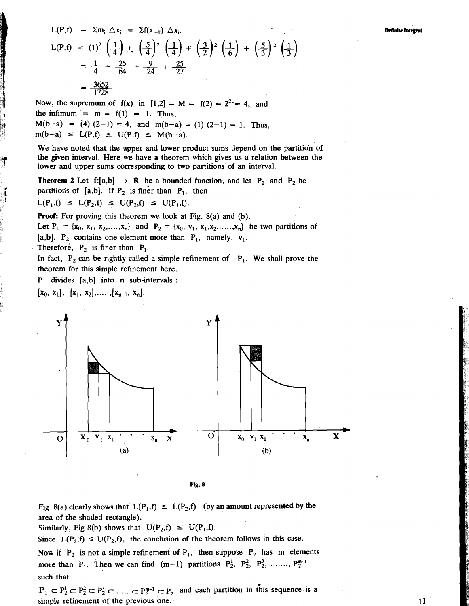$$
L(P,f) = \Sigma m_i \triangle x_i = \Sigma f(x_{i-1}) \triangle x_i.
$$
  
\n
$$
L(P,f) = (1)^2 \left(\frac{1}{4}\right) + \left(\frac{5}{4}\right)^2 \left(\frac{1}{4}\right) + \left(\frac{3}{2}\right)^2 \left(\frac{1}{6}\right) + \left(\frac{5}{3}\right)^2 \left(\frac{1}{3}\right)
$$
  
\n
$$
= \frac{1}{4} + \frac{25}{64} + \frac{9}{24} + \frac{25}{27}
$$
  
\n
$$
= \frac{3652}{1728}
$$

Now, the supremum of  $f(x)$  in  $[1,2] = M = f(2) = 2^2 = 4$ , and the infimum  $= m = f(1) = 1$ . Thus,  $M(b-a) = (4) (2-1) = 4$ , and  $m(b-a) = (1) (2-1) = 1$ . Thus,  $m(b-a) \leq L(P,f) \leq U(P,f) \leq M(b-a).$ 

We have noted that the upper and lower product sums depend on the partition of **<sup>Y</sup>**the given interval. Here we have a theorem which gives us a relation between the lower and upper sums corresponding to two partitions of an interval.

**Theorem 2** Let f:[a,b]  $\rightarrow \mathbb{R}$  be a bounded function, and let P<sub>1</sub> and P<sub>2</sub> be partitions of  $[a,b]$ . If  $P_2$  is finer than  $P_1$ , then  $L(P_1,f) \leq L(P_2,f) \leq U(P_2,f) \leq U(P_1,f).$ 

**Proof:** For proving this theorem we look at Fig. 8(a) and (b).

Let  $P_1 = \{x_0, x_1, x_2, ..., x_n\}$  and  $P_2 = \{x_0, v_1, x_1, x_2, ..., x_n\}$  be two partitions of [a,b].  $P_2$  contains one element more than  $P_1$ , namely,  $v_1$ .

Therefore,  $P_2$  is finer than  $P_1$ .

In fact,  $P_2$  can be rightly called a simple refinement of  $P_1$ . We shall prove the theorem for this simple refinement here.

 $P_1$  divides [a,b] into n sub-intervals :

 $[x_0, x_1], [x_1, x_2], \ldots, [x_{n-1}, x_n].$ 



**Fig. 8** 

Fig. 8(a) clearly shows that  $L(P_1,f) \leq L(P_2,f)$  (by an amount represented by the area of the shaded rectangle).

Similarly, Fig 8(b) shows that  $U(P_2,f) \leq U(P_1,f)$ .

Since  $L(P_2,f) \le U(P_2,f)$ , the conclusion of the theorem follows in this case.

Now if  $P_2$  is not a simple refinement of  $P_1$ , then suppose  $P_2$  has m elements more than  $P_1$ . Then we can find  $(m-1)$  partitions  $P_2^1$ ,  $P_2^2$ ,  $P_2^3$ , .......,  $P_2^{m-1}$ such that

 $P_1 \subset P_2^1 \subset P_2^2 \subset P_2^3 \subset \ldots \subset P_2^{m-1} \subset P_2$  and each partition in this sequence is a simple refinement of the previous one.

**Definite Integral**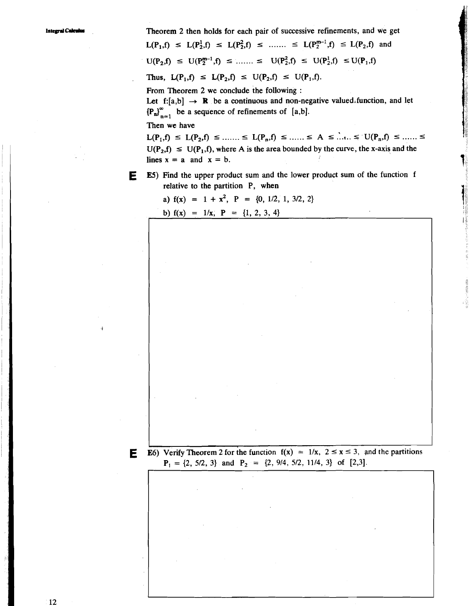**Example 2 Example 2 \*** Theorem 2 then holds for each pair of successive refinements, and we get

$$
L(P_1,f) \leq L(P_2^1,f) \leq L(P_2^2,f) \leq \dots \leq L(P_2^{m-1},f) \leq L(P_2,f) \text{ and}
$$

$$
U(P_2,f) \leq U(P_2^{m-1},f) \leq \dots \leq U(P_2^2,f) \leq U(P_2^1,f) \leq U(P_1,f)
$$

Thus, 
$$
L(P_1,f) \leq L(P_2,f) \leq U(P_2,f) \leq U(P_1,f)
$$
.

From Theorem 2 we conclude the following :

Let  $f:[a,b] \rightarrow \mathbb{R}$  be a continuous and non-negative valued. function, and let  ${P_n}_{n=1}^{\infty}$  be a sequence of refinements of [a,b].

Then we have

 $L(P_1,f) \leq L(P_2,f) \leq \dots \leq L(P_n,f) \leq \dots \leq A \leq \dots \leq U(P_n,f) \leq \dots \leq$  $U(P_2,f) \leq U(P_1,f)$ , where A is the area bounded by the curve, the x-axis and the lines  $x = a$  and  $x = b$ .

**E ES**) Find the upper product sum and the lower product sum of the function f relative to the partition P, when

a)  $f(x) = 1 + x^2$ ,  $P = \{0, 1/2, 1, 3/2, 2\}$ 

b)  $f(x) = 1/x$ ,  $P = \{1, 2, 3, 4\}$ 

**E E**6) Verify Theorem 2 for the function  $f(x) = 1/x$ ,  $2 \le x \le 3$ , and the partitions  $P_1 = \{2, 5/2, 3\}$  and  $P_2 = \{2, 9/4, 5/2, 11/4, 3\}$  of  $[2,3]$ .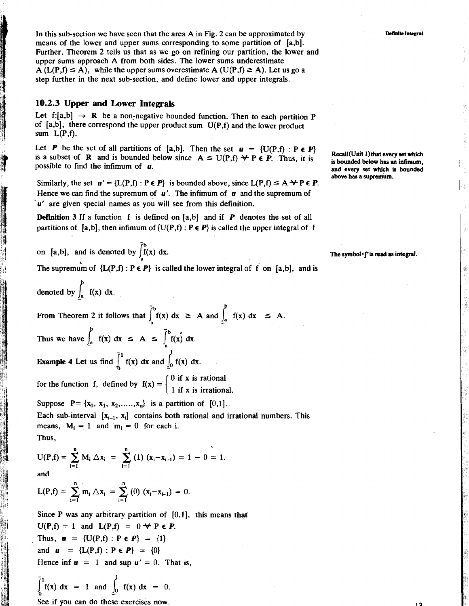In this sub-section we have seen that the area A in Fig. 2 can be approximated by means of the lower and upper sums corresponding to some partition of  $[a,b]$ . Further, Theorem 2 tells us that as we go on refining our partition, the lower and upper sums approach A from both sides. The lower sums underestimate A ( $L(P,f) \leq A$ ), while the upper sums overestimate A ( $U(P,f) \geq A$ ). Let us go a step further in the next sub-section, and define lower and upper integrals.

### **10.2.3 Upper and Lower Integrals**

Let f:[a,b]  $\rightarrow \mathbb{R}$  be a non-negative bounded function. Then to each partition P of  $[a,b]$ , there correspond the upper product sum  $U(P,f)$  and the lower product sum  $L(P,f)$ .

Let **P** be the set of all partitions of [a,b]. Then the set  $u = \{U(P,f) : P \in P\}$ <br>is a subset of **R** and is bounded below since  $A \le U(P,f) + P \in P$ . Thus, it is bounded below has an infimum,<br>possible to find the infimum of u.<br>and

Similarly, the set  $u' = \{L(P,f) : P \in P\}$  is bounded above, since  $L(P,f) \leq A \cdot P \in P$ . Hence we can find the supremum of **u'.** The infimum of **u** and the supremum of **'u'** are given special names as you will see from this definition.

**Definition 3** If a function f is defined on [a,b] and if P denotes the set of all partitions of [a,b], then infimum of  $\{U(P,f): P \in P\}$  is called the upper integral of f

**-b**  on [a,b], and is denoted by  $\int_{a}^{b} f(x) dx$ . **The symbol '** is read as integral.

The supremum of  ${L(P,f) : P \in P}$  is called the lower integral of f on [a,b], and is

denoted by  $\int_{a}^{b} f(x) dx$ .

**-b**  From Theorem 2 it follows that  $\int_{a}^{b} f(x) dx \geq A$  and  $\int_{a}^{b} f(x) dx \leq A$ . **-b**  Thus we have  $\int_{a}^{b} f(x) dx \leq A \leq \int_{a}^{b} f(x) dx$ . **1 Example 4** Let us find  $\int_0^1 f(x) dx$  and  $\int_0^1 f(x) dx$ .

for the function f, defined by  $f(x) = \begin{cases} 0 & \text{if } x \text{ is rational} \\ 1 & \text{if } x \text{ is irrational.} \end{cases}$ 

Suppose P=  $\{x_0, x_1, x_2, ..., x_n\}$  is a partition of [0,1].

Each sub-interval  $[x_{i-1}, x_i]$  contains both rational and irrational numbers. This means,  $M_i = 1$  and  $m_i = 0$  for each i.

Thus,

$$
U(P,f) = \sum_{i=1}^{n} M_i \triangle x_i = \sum_{i=1}^{n} (1) (x_i - x_{i-1}) = 1 - 0 = 1.
$$
  
and

$$
L(P,f) = \sum_{i=1}^{n} m_i \triangle x_i = \sum_{i=1}^{n} (0) (x_i - x_{i-1}) = 0.
$$

Since P was any arbitrary partition of [0,1], this means that  $U(P,f) = 1$  and  $L(P,f) = 0 \rightarrow P \in P$ . Thus,  $\mathbf{u} = \{U(P,f) : P \in P\} = \{1\}$ **and**  $u = {L(P,f) : P \in P} = {0}$ <br>
Hence inf  $u = 1$  and sup  $u' = 0$ . That is,

$$
\int_0^1 f(x) dx = 1 \text{ and } \int_0^1 f(x) dx = 0.
$$

See if you can do these exercises now.

**above has a supremum.**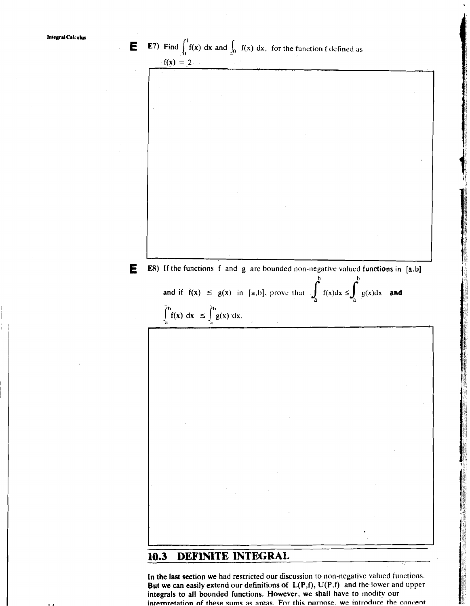E E8) If the functions f and g are bounded non-negative valued functions **in [a.b]**  If the functions f and g are bounded non-negative valued functions in<br>and if  $f(x) \le g(x)$  in [a,b], prove that  $\int_{a}^{b} f(x) dx \le \int_{a}^{b} g(x) dx$  and **h If**(x) dx  $\leq \int_{0}^{b} g(x) dx$ .

### **10.3 DEFINITE INTEGRAL**

In the last section we had restricted our discussion to non-negative valued functions. But we can easily extend our definitions of  $L(P,f)$ ,  $U(P,f)$  and the lower and upper integrals to all bounded functions, However, we shall have to modify our **interpretation of these sums as areas. For this nurnose, we introduce the concent**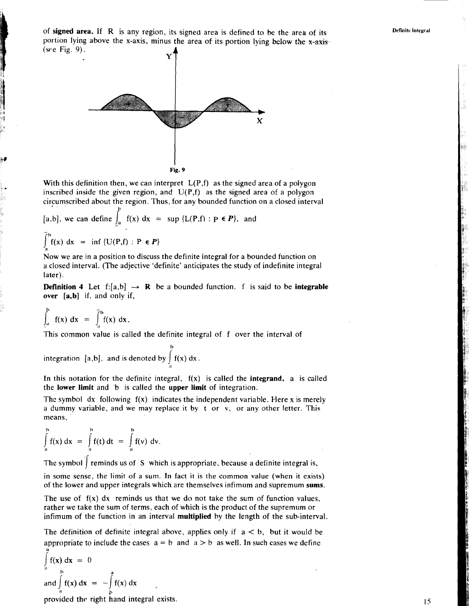of **signed area.** If **R** is any region, its signed area is defined to be the area of its **Definite Integral** portion lying above the x-axis, minus the area of its portion lying below the x-axis-(see Fig. 9).



With this definition then, we can interpret  $L(P,f)$  as the signed area of a polygon inscribed inside the given region, and  $U(P,f)$  as the signed area of a polygon

circumscribed about the region. Thus, for any bounded function on a closed interval [a,b], we can define 
$$
\int_{a}^{b} f(x) dx = \sup \{L(P,f) : P \in P\}
$$
, and

$$
\int_{0}^{b} f(x) dx = \inf \{U(P,f) : P \in P\}
$$

Now we are in a position to discuss the definite integral for a bounded function on a closed interval. (The adjective 'definite' anticipates the study of indefinite integral later).

**Definition 4** Let  $f:[a,b] \rightarrow \mathbb{R}$  be a bounded function. f is said to be **integrable over [a,b]** if, and only if,

$$
\int_a^b f(x) dx = \int_a^b f(x) dx.
$$

This common value is called the definite integral of f over the interval of

**h**  integration [a,b], and is denoted by  $\int f(x) dx$ .

In this notation for the definite integral, f(x) is called the **integrand,** a is called the **lower limit** and b is called the **upper limit** of integration.

The symbol dx following  $f(x)$  indicates the independent variable. Here x is merely a dummy variable, and we may replace it by t or v, or any other letter. This means,

$$
\int_{a}^{b} f(x) dx = \int_{a}^{b} f(t) dt = \int_{a}^{b} f(v) dv.
$$

The symbol  $\int$  reminds us of S which is appropriate, because a definite integral is,

in some sense, the limit of a sum. In fact it is the common value (when it exists) of the lower and upper integrals which are themselves infimum and supremum **sums.** 

The use of  $f(x)$  dx reminds us that we do not take the sum of function values, rather we take the sum of terms. each of which is the product of the supremum or infimum of the function in an interval **multiplied** by the length of the sub-interval.

The definition of definite integral above, applies only if  $a < b$ , but it would be appropriate to include the cases  $a = b$  and  $a > b$  as well. In such cases we define

$$
\int_{a}^{b} f(x) dx = 0
$$
  
and 
$$
\int_{a}^{b} f(x) dx = -\int_{b}^{a} f(x) dx
$$
  
provided the right hand interest

provided the right hand integral exists.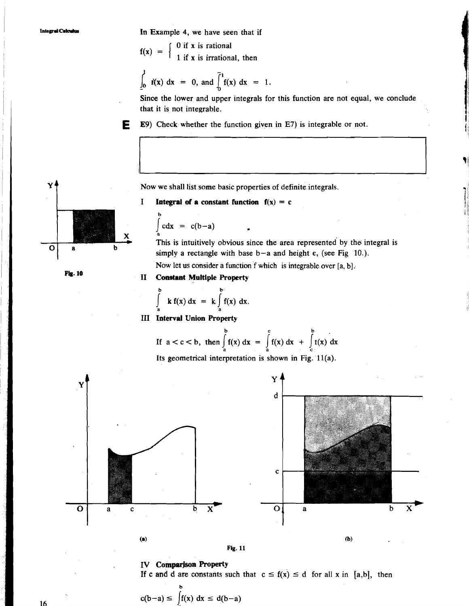$\overline{o}$ 

a

**Fig. 10** 

ĥ

In Example 4, we have seen that if

 $f(x) = \begin{cases} 0 & \text{if } x \text{ is rational} \\ 1 & \text{if } x \text{ is irrational, then} \end{cases}$ 

$$
\int_0^1 f(x) dx = 0, \text{ and } \int_0^1 f(x) dx = 1.
$$

Since the lower and upper integrals for this function are not equal, we conclude that it is not integrable.

**E** E9) Check whether the function given in E7) is integrable or not.

 $Y^*$  Now we shall list some basic properties of definite integrals.

I **Integral of a constant function**  $f(x) = c$ 

$$
\int_{a}^{b} cdx = c(b-a) \qquad \qquad .
$$

This is intuitively obvious since the area represented by the integral is simply a rectangle with base  $b-a$  and height  $\varepsilon$ , (see Fig 10.).

Now let us consider a function f which is integrable over [a, b].

### **I1** *Constant* **Multiple Property**

$$
\int_{a}^{b} k f(x) dx = k \int_{a}^{b} f(x) dx.
$$

I11 **Interval Union Property** 

If 
$$
a < c < b
$$
, then  $\int_{a}^{b} f(x) dx = \int_{a}^{c} f(x) dx + \int_{c}^{b} t(x) dx$ 

Its geometrical interpretation is shown in Fig.  $11(a)$ .



**Fig. 11** 

### IV Comparison Property



if c and d are constants such

\n
$$
c(b-a) \leq \int f(x) \, dx \leq d(b-a)
$$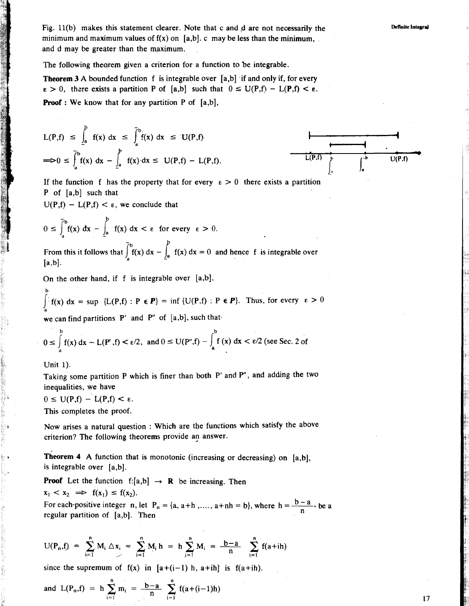Fig. 11(b) makes this statement clearer. Note that c and d are not necessarily the minimum and maximum values of  $f(x)$  on [a,b]. c may be less than the minimum, and d may be greater than the maximum.

The following theorem given a criterion for a function to be integrable.

**Theorem 3** A bounded function f is integrable over [a,b] if and only if, for every  $\epsilon > 0$ , there exists a partition P of [a,b] such that  $0 \le U(P,f) - L(P,f) < \epsilon$ . **Proof :** We know that for any partition P of [a,b],

$$
L(P,f) \leq \int_a^b f(x) dx \leq \int_a^{b} f(x) dx \leq U(P,f).
$$
  
\n
$$
\Rightarrow 0 \leq \int_a^b f(x) dx - \int_a^b f(x) dx \leq U(P,f) - L(P,f).
$$



If the function f has the property that for every  $\epsilon > 0$  there exists a partition P of [a,b] such that

 $U(P,f) - L(P,f) < \varepsilon$ , we conclude that

$$
0 \leq \int_a^b f(x) dx - \int_a^b f(x) dx < \varepsilon \text{ for every } \varepsilon > 0.
$$

**b**  From this it follows that  $\int_{a}^{b} f(x) dx - \int_{a}^{b} f(x) dx = 0$  and hence f is integrable over From this it follows that  $\int_a^b f(x) dx - \int_a^b f(x) dx$ 

On the other hand, if f is integrable over [a,b],

$$
\int_{a}^{1} f(x) dx = \sup \{L(P,f) : P \in P\} = \inf \{U(P,f) : P \in P\}.
$$
 Thus, for every  $\varepsilon > 0$ 

we can find partitions  $P'$  and  $P''$  of  $[a,b]$ , such that.

$$
0 \leq \int_{a}^{b} f(x) dx - L(P', f) < \varepsilon/2, \text{ and } 0 \leq U(P'', f) - \int_{a}^{b} f(x) dx < \varepsilon/2 \text{ (see Sec. 2 of }
$$

Unit 1).

 $\mathbf{b}$ 

Taking some partition P which is finer than both  $P'$  and  $P''$ , and adding the two inequalities, we have

 $0 \leq U(P,f) - L(P,f) < \varepsilon$ .

This completes the proof.

Now arises a natural question : Which are the functions which satisfy the above criterion? The following theorems provide an answer.

**Theorem 4 A** function that is monotonic (increasing or decreasing) on [a,b], is integrable over [a,b].

**Proof** Let the function  $f:[a,b] \rightarrow \mathbb{R}$  be increasing. Then  $x_1 < x_2 \implies f(x_1) \le f(x_2)$ . **Theorem 4** A function that is monotonic (increasing or decreasing) on [a,b],<br>is integrable over [a,b].<br>**Proof** Let the function  $f:[a,b] \rightarrow \mathbb{R}$  be increasing. Then<br> $x_1 < x_2 \implies f(x_1) \le f(x_2)$ .<br>For each-positive integer n, l

$$
U(P_n, f) = \sum_{i=1}^{n} M_i \triangle x_i = \sum_{i=1}^{n} M_i h = h \sum_{i=1}^{n} M_i = \frac{b-a}{n} \sum_{i=1}^{n} f(a+ih)
$$

since the supremum of  $f(x)$  in  $[a+(i-1)$  h,  $a+ih$  is  $f(a+ih)$ .

and 
$$
L(P_n, f) = h \sum_{i=1}^{n} m_i = \frac{b-a}{n} \sum_{i=1}^{n} f(a+(i-1)h)
$$

**Definite Integral**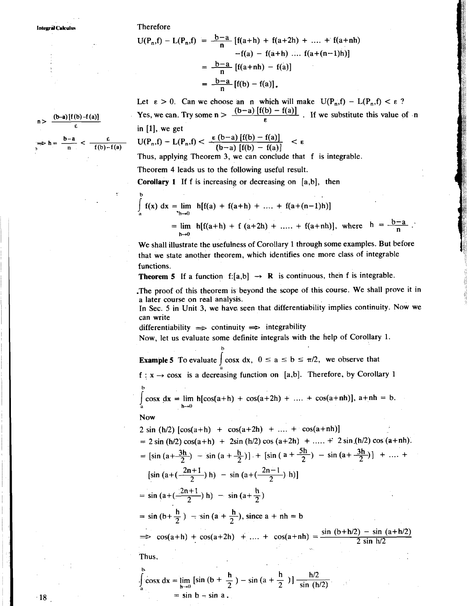**Integral Calculus** 

 $n > \frac{(b-a) [f(b)-f(a)]}{\epsilon}$ <br>  $\Rightarrow h = \frac{b-a}{n} < \frac{\epsilon}{f(b)-f(a)}$ 

Therefore

$$
U(P_n, f) - L(P_n, f) = \frac{b-a}{n} [f(a+h) + f(a+2h) + \dots + f(a+nh) - f(a) - f(a+h) \dots f(a+(n-1)h)]
$$
  
= 
$$
\frac{b-a}{n} [f(a+nh) - f(a)]
$$
  
= 
$$
\frac{b-a}{n} [f(b) - f(a)].
$$

Let  $\epsilon > 0$ . Can we choose an n which will make  $U(P_n, f) - L(P_n, f) < \epsilon$ ? Yes, we can. Try some  $n > \frac{(b-a)\left[f(b) - f(a)\right]}{\epsilon}$ . If we substitute this value of .n in  $[1]$ , we get  $U(P_n,f) - L(P_n,f) < \frac{\varepsilon (b-a) [f(b) - f(a)]}{(b-a) [f(b) - f(a)]} < \varepsilon$ Thus, applying Theorem 3, we can conclude that f is integrable.

Theorem 4 leads us to the following useful result.

**Corollary** 1 If f is increasing or decreasing on [a,b], then

$$
\int_{a}^{b} f(x) dx = \lim_{h \to 0} h[f(a) + f(a+h) + .... + f(a+(n-1)h)]
$$
  
=  $\lim_{h \to 0} h[f(a+h) + f(a+2h) + .... + f(a+nh)],$  where  $h = \frac{b-a}{n}$ .

We shall illustrate the usefulness of Corollary 1 through some examples. But before that we state another theorem, which identifies one more class of integrable functions.

**Theorem 5** If a function  $f:[a,b] \rightarrow \mathbb{R}$  is continuous, then f is integrable.

.The proof of this theorem is beyond the scope of this course. We shall prove it in a later course on real analysis.

In Sec. 5 in Unit 3, we have seen that differentiability implies continuity. Now we can write

differentiability  $\implies$  continuity  $\implies$  integrability

**b** 

Now, let us evaluate some definite integrals with the help of Corollary 1.

**Example 5** To evaluate  $\int \cos x \, dx$ ,  $0 \le a \le b \le \pi/2$ , we observe that

 $\mathbf{f}: \mathbf{x} \to \mathbf{cosx}$  is a decreasing function on [a,b]. Therefore, by Corollary 1

 $\cos x \, dx = \lim h[\cos(a+h) + \cos(a+2h) + \dots + \cos(a+nh)], a+nh = b.$ **I h-.O** 

Now

 $2 \sin (h/2) [\cos(a+h) + \cos(a+2h) + \dots + \cos(a+nh)]$  $= 2 \sin (h/2) \cos (a+h) + 2 \sin (h/2) \cos (a+2h) + \dots + 2 \sin (h/2) \cos (a+nh).$  $= [\sin (a+\frac{3h}{2}) - \sin (a+\frac{h}{2})] + [\sin (a+\frac{5h}{2}) - \sin (a+\frac{3h}{2})] + ... +$ 

$$
[\sin (a + (\frac{2n+1}{2}) h) - \sin (a + (\frac{2n-1}{2}) h)]
$$
  
= sin (a + (\frac{2n+1}{2}) h) - sin (a + \frac{h}{2})

 $= \sin (b + \frac{h}{2}) - \sin (a + \frac{h}{2})$ , since a + nh = b

$$
= \sin (b + \frac{\pi}{2}) - \sin (a + \frac{\pi}{2}), \text{ since } a + nh = b
$$
\n
$$
\Rightarrow \cos(a+h) + \cos(a+2h) + \dots + \cos(a+nh) = \frac{\sin (b+h/2) - \sin (a+h/2)}{2 \sin h/2}
$$

Thus,

$$
\int_{0}^{b} \cos x \, dx = \lim_{h \to 0} \left[ \sin (b + \frac{h}{2}) - \sin (a + \frac{h}{2}) \right] \frac{h/2}{\sin (h/2)} = \sin h - \sin a.
$$

 $\cdot$  18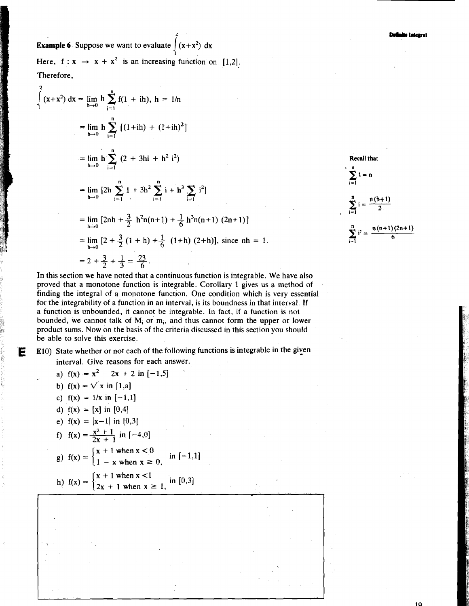**Example 6** Suppose we want to evaluate  $(x+x^2) dx$ Here,  $f: x \rightarrow x + x^2$  is an increasing function on [1,2]. Therefore,

**L** 

$$
\int_{1}^{2} (x+x^{2}) dx = \lim_{h\to 0} h \sum_{i=1}^{n} f(1 + ih), h = 1/n
$$
  
\n
$$
= \lim_{h\to 0} h \sum_{i=1}^{n} [(1+ih) + (1+ih)^{2}]
$$
  
\n
$$
= \lim_{h\to 0} h \sum_{i=1}^{n} (2 + 3hi + h^{2} i^{2})
$$
  
\n
$$
= \lim_{h\to 0} [2h \sum_{i=1}^{n} 1 + 3h^{2} \sum_{i=1}^{n} i + h^{3} \sum_{i=1}^{n} i^{2}]
$$
  
\n
$$
= \lim_{h\to 0} [2nh + \frac{3}{2} h^{2}n(n+1) + \frac{1}{6} h^{3}n(n+1) (2n+1)]
$$
  
\n
$$
= \lim_{h\to 0} [2 + \frac{3}{2} (1 + h) + \frac{1}{6} (1 + h) (2 + h)], \text{ since } nh = 1.
$$
  
\n
$$
= 2 + \frac{3}{2} + \frac{1}{3} = \frac{23}{6}.
$$

Recall that  
\n
$$
\sum_{i=1}^{n} 1 = n
$$
\n
$$
\sum_{i=1}^{n} i = \frac{n(h+1)}{2}
$$
\n
$$
\sum_{i=1}^{n} i^{2} = \frac{n(n+1)(2n+1)}{6}
$$

In this section we have noted that a continuous function is integrable. We have also proved that a monotone function is integrable. Corollary 1 gives us a method of finding the integral of a monotone function. One condition which is very essential for the integrability of a function in an interval, is its boundness in that interval. If a function is unbounded, it cannot be integrable. In fact, if a function is not bounded, we cannot talk of  $M_i$  or  $m_i$ , and thus cannot form the upper or lower product sums. Now on the basis of the criteria discussed in this section you should be able to solve this exercise.

E10) State whether or not each of the following functions is integrable in the giyen interval. Give reasons for each answer.

- interval. Give reasons for each a<br> **a**)  $f(x) = x^2 2x + 2$  in  $[-1,5]$ <br> **b**)  $f(x) = \sqrt{x}$  in [1,a]
- 
- c)  $f(x) = 1/x$  in  $[-1,1]$
- d)  $f(x) = [x]$  in  $[0,4]$

Е

- e)  $f(x) = |x-1|$  in [0,3]
- b)  $f(x) = \sqrt{x}$  in [1,a]<br>c)  $f(x) = 1/x$  in [-1,1]<br>d)  $f(x) = [x]$  in [0,4]<br>e)  $f(x) = |x-1|$  in [0,3]<br>f)  $f(x) = \frac{x^2 + 1}{2x + 1}$  in [-4,0]

g) 
$$
f(x) = \begin{cases} x + 1 \text{ when } x < 0 \\ 1 - x \text{ when } x \ge 0, \end{cases}
$$
 in [-1,1]

h) 
$$
f(x) = \begin{cases} x + 1 \text{ when } x < 1 \\ 2x + 1 \text{ when } x \ge 1, \end{cases}
$$
 in [0,3]

 $\ddot{\phantom{0}}$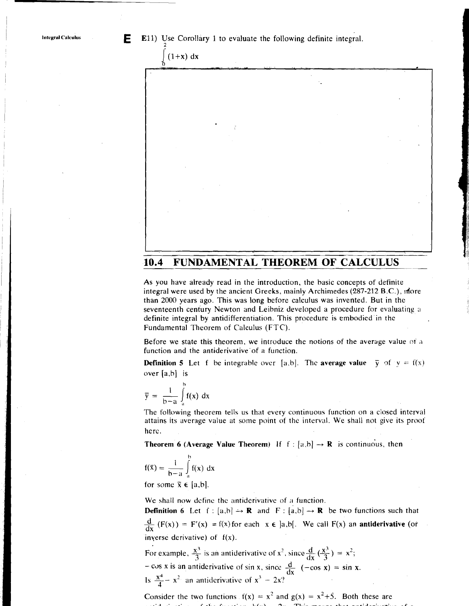**Intugral Calculus E** Ell) Use Corollary 1 to evaluate the following definite integral.

 $(1+x) dx$ 

### **10.4 FUNDAMENTAL THEOREM OF CALCULUS**

As you have already read in the introduction, the basic concepts of definite integral were used by the ancient Greeks, mainly Archimedes  $(287-212 B.C.)$ , infore than 2000 years ago. This was long before calculus was invented. But in the seventeenth century Newton and Leibniz developed a procedure for evaluating a definite integral by antidifferentiation. This procedure is embodied in the Fundamental Theorem of Calculus (FTC).

Before we state this theorem, we introduce the notions of the average value ot **<sup>A</sup>** function and the antiderivative of a function.

**Definition 5** Let f be integrable over [a,b]. The **average value**  $\bar{y}$  of  $y = f(x)$ over [a,b] is

$$
\overline{y} = \frac{1}{b-a} \int_{a}^{b} f(x) dx
$$

The following theorem tells us that every continuous function on a closed interval attains its average value at some point of the interval. We shall not give its proof here.

**Theorem 6 (Average Value Theorem)** If  $f : [a,b] \rightarrow \mathbb{R}$  is continuous, then

here.  
\n**Theorem 6 (Average**  
\n
$$
f(\bar{x}) = \frac{1}{b-a} \int_{a}^{b} f(x) dx
$$

for some  $\bar{x} \in [a,b]$ .

We shall now dcfinc the antiderivative of a function.

**Definition 6** Let  $f : [a,b] \rightarrow \mathbb{R}$  and  $F : [a,b] \rightarrow \mathbb{R}$  be two functions such that We shall now define the antiderivative of a function.<br> **Definition 6** Let  $f : [a,b] \rightarrow \mathbb{R}$  and  $F : [a,b] \rightarrow \mathbb{R}$  be two functions such that  $\frac{d}{dx} (F(x)) = F'(x) = f(x)$  for each  $x \in [a,b]$ . We call  $F(x)$  an **antiderivative** (or inyerse derivative) of *f(x).* 

For example,  $\frac{x^3}{3}$  is an antiderivative of  $x^2$ , since  $\frac{d}{dx}(\frac{x^3}{3}) = x^2$ For example,  $\frac{x^3}{3}$  is an antiderivative of  $x^2$ , since  $\frac{d}{dx}(\frac{x^3}{3}) = x^2$ ;<br>- cos x is an antiderivative of sin x, since  $\frac{d}{dx}(-\cos x) = \sin x$ .<br>Is  $\frac{x^4}{3} - x^2$  an antiderivative of  $x^3 - 2x^2$ Is  $\frac{x^4}{4} - x^2$  an antiderivative of  $x^3 - 2x$ ?

Consider the two functions  $f(x) = x^2$  and  $g(x) = x^2 + 5$ . Both these are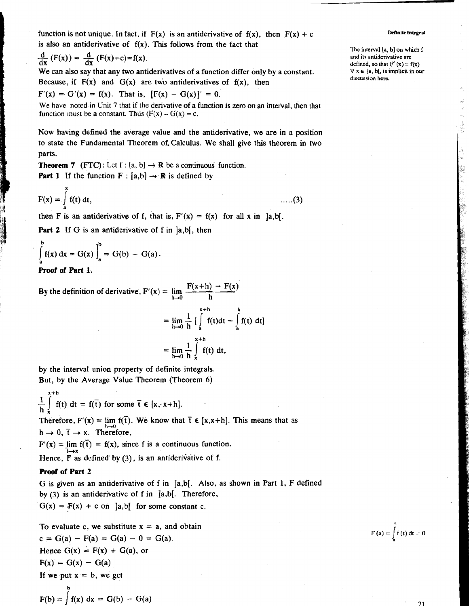function is not unique. In fact, if F(x) is an antiderivative of f(x), then F(x) + c **Definite Integral**<br>
is also an antiderivative of f(x). This follows from the fact that<br>  $\frac{d}{dx} (F(x)) = \frac{d}{dx} (F(x)+c) = f(x)$ .<br>  $\frac{d}{dx} (F(x)+c$ is also an antiderivative of  $f(x)$ . This follows from the fact that

$$
\frac{d}{dx}(F(x)) = \frac{d}{dx}(F(x)+c)=f(x).
$$

We can also say that any two antiderivatives of a function differ only by a constant.  $\forall x \in \{a, b\}$ , is in the **integral of**  $\forall x \in \{a, b\}$ Because, if  $F(x)$  and  $G(x)$  are two antiderivatives of  $f(x)$ , then

 $F'(x) = G'(x) = f(x)$ . That is,  $[F(x) - G(x)]' = 0$ .

We have noted in Unit 7 that if the derivative of a function is **zero** on an interval. then that function must be a constant. Thus  $(F(x) - G(x)) = c$ .

Now having defined the average value and the antiderivative, we are in a position to state the Fundamental Theorem of Calculus. We shall give this theorem in two **i parts. i** *T* **(FTC)**: Let  $f : [a, b] \rightarrow \mathbb{R}$  be a continuous function.

**Part 1** If the function  $F : [a,b] \rightarrow \mathbb{R}$  is defined by

$$
F(x) = \int_{a}^{x} f(t) dt,
$$
 ....(3)

then F is an antiderivative of f, that is,  $F'(x) = f(x)$  for all x in ]a,b[.

**Part 2** If G is an antiderivative of f in  $[a,b]$ , then

$$
\int_{a}^{b} f(x) dx = G(x) \Big]_{a}^{b} = G(b) - G(a).
$$

**Proof of Part 1.** 

By the definition of derivative,  $F'(x) = \lim_{h \to 0} \frac{F(x+h) - F(x)}{h}$ 

$$
= \lim_{h \to 0} \frac{1}{h} \left[ \int_{a}^{h} f(t) dt - \int_{a}^{f} f(t) dt \right]
$$

$$
= \lim_{h \to 0} \frac{1}{h} \int_{a}^{x+h} f(t) dt,
$$

by the interval union property of definite integrals. But, by the Average Value Theorem (Theorem 6)

 $\int$  f(t) dt = f(t) for some  $\bar{t} \in$  [x, x+h]. h **<sup>x</sup>** Therefore,  $F'(x) = \lim_{h \to 0} f(\overline{t})$ . We know that  $\overline{t} \in [x, x+h]$ . This means that as  $h \rightarrow 0$ ,  $\bar{t} \rightarrow x$ . Therefore,  $F'(x) = \lim_{h \to 0} f(\bar{t}) = f(x)$ , since f is a continuous function.

**t→x** Hence, **F** as defined by (3), is an antiderivative of f.

#### **Proof of Part 2**

G is given as an antiderivative of f in  $[a,b]$ . Also, as shown in Part 1, F defined by  $(3)$  is an antiderivative of f in  $[a,b]$ . Therefore,

 $G(x) = F(x) + c$  on [a,b] for some constant c.

To evaluate c, we substitute  $x = a$ , and obtain  $c = G(a) - F(a) = G(a) - 0 = G(a).$ Hence  $G(x) = F(x) + G(a)$ , or  $F(x) = G(x) - G(a)$ If we put  $x = b$ , we get Ь

$$
F(b) = \int f(x) dx = G(b) - G(a)
$$

**The interval [a, b] on which f** 

and its antiderivative are<br>defined, so that  $F'(x) = f(x)$ <br> $\forall x \in [a, b]$ , is implicit in our

$$
F(a) = \int_{a}^{a} f(t) dt = 0
$$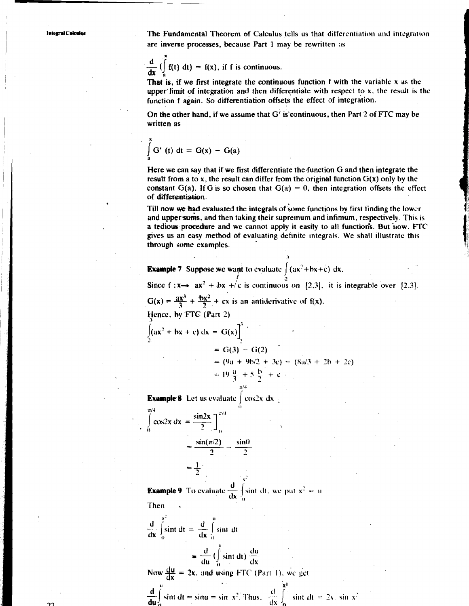Integral Calculu

The Fundamental Theorem of Calculus tells us that differentiation and integration are inverse processes, because Part 1 may **be** rewritten as

 $\frac{d}{dx}$  ( $\int$  f(t) dt) = f(x), if f is continuous.

That is, if we first integrate the continuous function f with the variable **x** as the upper'limit of integration and then differentiaie with respect to **x,** the result is the function f again. So differentiation offsets the effect of integration.

On the other hand, if **we** assume that G' is'continuous, then Part 2 of **FTC** may be written as

$$
\int_a^x G'(t) dt = G(x) - G(a)
$$

Here we can say that if we first differentiate the function  $G$  and then integrate the result from a to x, the result can differ from the original function  $G(x)$  only by the constant  $G(a)$ . If G is so chosen that  $G(a) = 0$ , then integration offsets the effect of differentiation.

Till now we had evaluated the integrals of some functions by first finding the lower and upper sums, and then taking their supremum and infimum, respectively. This is a tedious procedure and we cannot apply it easily to all function's. But now, FTC gives us an easy method of evaluating definite integrals. We shall illustrare this through **some** examples.

**Example 7** Suppose we want to evaluate  $\int (ax^2 + bx + c) dx$ . Since  $f: x \rightarrow ax^2 + bx + c$  is continuous on [2,3], it is integrable over [2,3].  $G(x) = \frac{ax^3}{3} + \frac{bx^2}{2} + cx$  is an antiderivative of f(x). **Hence.** by **FTC** (Part 2)<br> $\int_{3}^{3} (ax^2 + bx + c) dx = G(x) \Big]_{3}^{3}$  $= G(3) - G(2)$  $= (9a + 9b/2 + 3c) - (8a/3 + 2b + 2c)$  $= 19\frac{a}{3} + 5\frac{b}{2} + c$ **alJ Example 8** Let us evaluate  $\int \cos 2x \, dx$ ,  $\int_0^{\pi/4} \cos 2x \, dx = \frac{\sin 2x}{2} \int_0^{\pi/4}$ 

$$
=\frac{\sin(\pi/2)}{2}-\frac{\sin\theta}{2}
$$

**Example 9** To evaluate  $\frac{d}{dx} \int_0^2 \sin t \ dt$ , we put  $x^2 = u$ <br>Then

**x-**

Then  
\n
$$
\frac{d}{dx} \int_0^{x^2} \sin t \, dt = \frac{d}{dx} \int_0^u \sin t \, dt
$$
\n
$$
= \frac{d}{du} \left( \int_0^u \sin t \, dt \right) \frac{du}{dx}
$$
\nNow  $\frac{du}{dx} = 2x$ , and using FTC (Part 1), we get\n
$$
\frac{d}{du} \int_0^u \sin t \, dt = \sin u = \sin x^2
$$
 Thus, 
$$
\frac{d}{dx} \int_0^{x^2} \sin t \, dt = 2x \cdot \sin x^2
$$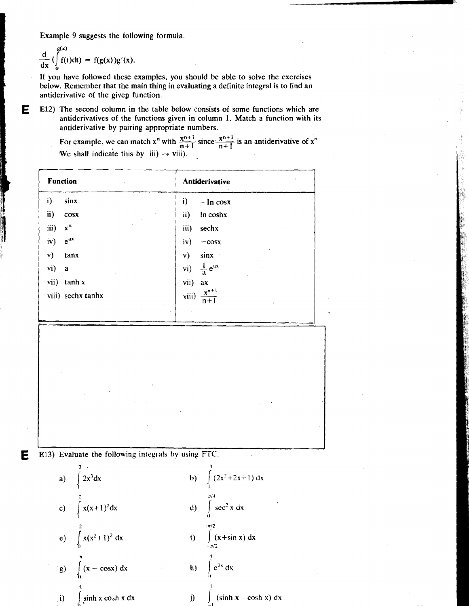Example 9 suggests the following formula.

$$
\frac{\mathrm{d}}{\mathrm{d}x} \left( \int\limits_{0}^{g(x)} f(t) \mathrm{d}t \right) = f(g(x))g'(x).
$$

If you have followed these examples, you should be able to solve the exercises below. Remember that the main thing in evaluating a definite integral is to find an antiderivative of the givep function.

**E** E12) The second column in the table below consists of some functions which are antiderivatives of the functions given in column 1. Match a function with its antiderivative by pairing appropriate numbers.

For example, we can match x<sup>n</sup> with  $\frac{x^{n+1}}{n+1}$  since: $\frac{x^{n+1}}{n+1}$  is an antiderivative of x<sup>n</sup> We shall indicate this by iii)  $\rightarrow$  viii).

| <b>Function</b>                                                                                                                                                           | Antiderivative                                                                                                                                                                                          |  |  |  |  |
|---------------------------------------------------------------------------------------------------------------------------------------------------------------------------|---------------------------------------------------------------------------------------------------------------------------------------------------------------------------------------------------------|--|--|--|--|
| i)<br>sin x<br>ii)<br>cos x<br>$\mathbf{x}^{\mathbf{n}}$<br>A.<br>iii)<br>$e^{ax}$<br>iv)<br>$\mathbf{v})$<br>tanx<br>vi)<br>$\bf{a}$<br>vii) tanh x<br>viii) sechx tanhx | i)<br>$-$ In $cos x$<br>ii)<br>In coshx<br>iii)<br>sechx<br>iv)<br>$-cosx$<br>sinx =<br>$\mathbf{v})$<br>$\frac{1}{a}e^{ax}$<br>vi)<br>vii)<br>ax<br>$\underline{x}^{n+1}$<br>viii)<br>$\overline{n+1}$ |  |  |  |  |
| ٠                                                                                                                                                                         |                                                                                                                                                                                                         |  |  |  |  |

Е

E13) Evaluate the following integrals by using FTC.

a) 
$$
\int_{1}^{3} 2x^{3} dx
$$
  
\nb)  $\int_{1}^{3} (2x^{2}+2x+1) dx$   
\nc)  $\int_{1}^{2} x(x+1)^{2} dx$   
\nd)  $\int_{0}^{\frac{\pi}{4}} \sec^{2} x dx$   
\ne)  $\int_{0}^{2} x(x^{2}+1)^{2} dx$   
\nf)  $\int_{-\frac{\pi}{2}}^{\frac{\pi}{2}} (x + \sin x) dx$   
\ng)  $\int_{0}^{\frac{\pi}{2}} (x - \cos x) dx$   
\nh)  $\int_{0}^{4} e^{2x} dx$   
\ni)  $\int_{0}^{1} \sinh x \cosh x dx$   
\nj)  $\int_{-1}^{1} (\sinh x - \cosh x) dx$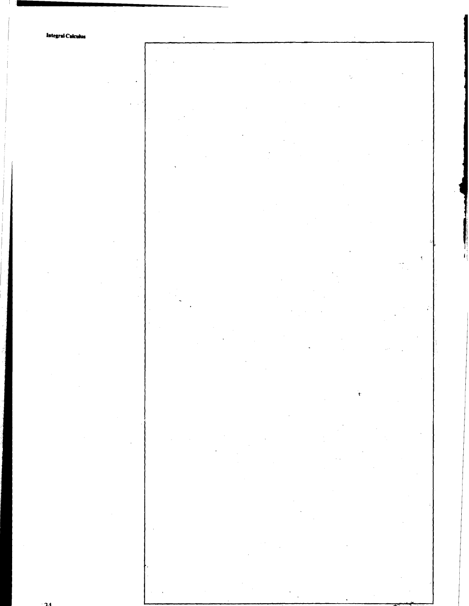### **Integral Calculus**

ť

ŧ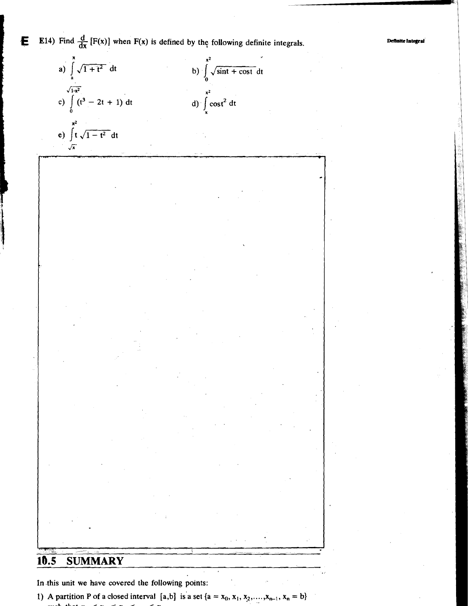**E** E14) Find  $\frac{d}{dx}$  [F(x)] when F(x) is defined by the following definite integrals.

.<br>Definite Integral



#### $10.5$ **SUMMARY**

In this unit we have covered the following points:

1) A partition P of a closed interval [a,b] is a set  $\{a = x_0, x_1, x_2, ..., x_{n-1}, x_n = b\}$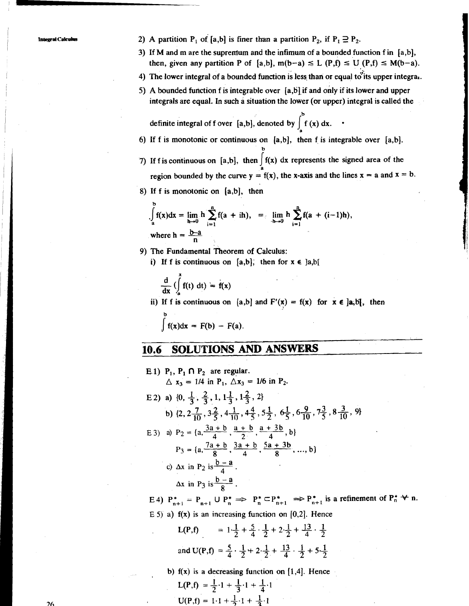**Integral Calcult** 

- 2) A partition P<sub>1</sub> of [a,b] is finer than a partition P<sub>2</sub>, if P<sub>1</sub>  $\supseteq$  P<sub>2</sub>.
- 3) If M and m are the supremum and the infimum of a bounded function f in  $[a,b]$ , then, given any partition P of [a,b],  $m(b-a) \leq L (P,f) \leq U (P,f) \leq M(b-a)$ .
- 4) The lower integral of a bounded function is less than or equal to its upper integral.
- 5) A bounded function f is integrable over  $[a,b]$  if and only if its lower and upper integrals are equal, In such a situation the lower **(or** upper) integral is called the

definite integral of f over  $[a,b]$ , denoted by  $\int_{a}^{b} f(x) dx$ .

6) If f is monotonic or continuous on  $[a,b]$ , then f is integrable over  $[a,b]$ .

**b** 

- 7) If f is continuous on [a,b], then  $\int f(x) dx$  represents the signed area of the region bounded by the curve  $y = f(x)$ , the x-axis and the lines  $x = a$  and  $x = b$ .
- 8) If f is monotonic on [a,b], then

$$
\int_{a}^{b} f(x) dx = \lim_{h \to 0} h \sum_{i=1}^{n} f(a + ih), = \lim_{h \to 0} h \sum_{i=1}^{n} f(a + (i-1)h),
$$
  
where  $h = \frac{b-a}{n}$ 

9) The Fundamental Theorem of Calculus: i) If f is continuous on  $[a,b]$ , then for  $x \in ]a,b[$ 

**x**  d If f is continuous on [a,b]<br> $\frac{d}{dx} (\int_a^x f(t) dt) = f(x)$ 

ii) If f is continuous on [a,b] and  $F'(x) = f(x)$  for  $x \in [a,b]$ , then

$$
\int_{0}^{b} f(x) dx = F(b) - F(a).
$$

## -- **10.6 SOLUTIONS AND ANSWERS**

- E.1)  $P_1$ ,  $P_1$   $\cap$   $P_2$  are regular.  $\Delta$  x<sub>3</sub> = 1/4 in P<sub>1</sub>,  $\Delta$ x<sub>3</sub> = 1/6 in P<sub>2</sub>. E 2) a)  $\{0, \frac{1}{3}, \frac{2}{3}, 1, 1\frac{1}{3}, 1\frac{2}{3}, 2\}$ b)  $\{2, 2\frac{7}{10}, 3\frac{2}{5}, 4\frac{1}{10}, 4\frac{4}{5}, 5\frac{1}{2}, 6\frac{1}{5}, 6\frac{9}{10}, 7\frac{3}{5}, 8\frac{3}{10}, 9\}$  $\Delta$  **x**<sub>3</sub> = 1/4 in P<sub>1</sub>,  $\Delta$ **x**<sub>3</sub> = 1/6 in P<sub>2</sub>.<br>
E2) a) {0,  $\frac{1}{3}$ ,  $\frac{2}{3}$ , 1, 1 $\frac{1}{3}$ , 1 $\frac{2}{3}$ , 2}<br>
b) {2,  $2\frac{7}{10}$ ,  $3\frac{2}{5}$ ,  $4\frac{1}{10}$ ,  $4\frac{4}{5}$ ,  $5\frac{1}{2}$ ,  $6\frac{1}{5}$ ,  $6\frac{9}{10}$ ,  $7\frac{3}{5}$  $P_3 = \{a, \frac{7a+b}{8}, \frac{3a+b}{4}, \frac{5a+3b}{8}, ..., b\}$ c)  $\Delta x$  in **P**<sub>2</sub> is  $\frac{b-a}{4}$ .  $\Delta x$  in P<sub>3</sub> is  $\frac{b-a}{s}$ . E 4)  $P_{n+1}^* = P_{n+1} \cup P_n^* \implies P_n^* \subset P_{n+1}^* \implies P_{n+1}^*$  is a refinement of  $P_n^* \nightharpoonup n$ .
- E 5) a)  $f(x)$  is an increasing function on [0,2]. Hence

$$
L(P,f) = 1 \cdot \frac{1}{2} + \frac{5}{4} \cdot \frac{1}{2} + 2 \cdot \frac{1}{2} + \frac{13}{4} \cdot \frac{1}{2}
$$
  
and 
$$
U(P,f) = \frac{5}{4} \cdot \frac{1}{2} + 2 \cdot \frac{1}{2} + \frac{13}{4} \cdot \frac{1}{2} + 5 \cdot \frac{1}{2}
$$

b)  $f(x)$  is a decreasing function on [1,4]. Hence

$$
L(P,f) = \frac{1}{2} \cdot 1 + \frac{1}{3} \cdot 1 + \frac{1}{4} \cdot 1
$$
  
U(P,f) = 1 \cdot 1 + \frac{1}{2} \cdot 1 + \frac{1}{2} \cdot 1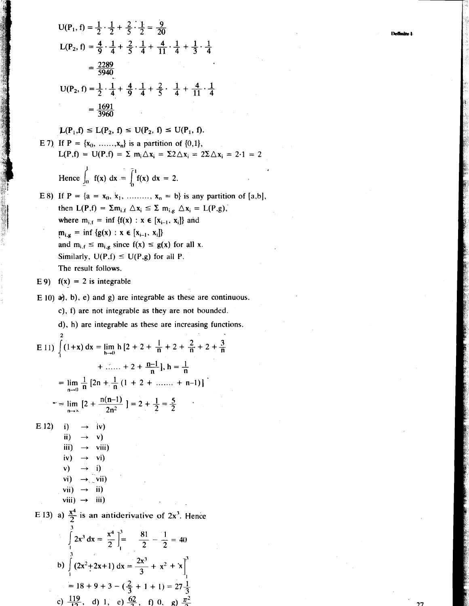$$
U(P_1, f) = \frac{1}{2} \cdot \frac{1}{2} + \frac{2}{5} \cdot \frac{1}{2} = \frac{9}{20}
$$
  
\n
$$
L(P_2, f) = \frac{4}{9} \cdot \frac{1}{4} + \frac{2}{5} \cdot \frac{1}{4} + \frac{4}{11} \cdot \frac{1}{4} + \frac{1}{3} \cdot \frac{1}{4}
$$
  
\n
$$
= \frac{2289}{5940}
$$
  
\n
$$
U(P_2, f) = \frac{1}{2} \cdot \frac{1}{4} + \frac{4}{9} \cdot \frac{1}{4} + \frac{2}{5} \cdot \frac{1}{4} + \frac{4}{11} \cdot \frac{1}{4}
$$
  
\n
$$
= \frac{1691}{3960}
$$
  
\n
$$
L(P_1, f) \le L(P_2, f) \le U(P_2, f) \le U(P_1, f).
$$
  
\nE7) If P = {x<sub>0</sub>, ..., x<sub>n</sub>} is a partition of {0,1},  
\n
$$
L(P, f) = U(P, f) = \sum m_i \Delta x_i = \Sigma 2 \Delta x_i = 2\Sigma \Delta x_i
$$

Hence 
$$
\int_0^1 f(x) dx = \int_0^1 f(x) dx = 2
$$
.

E 8) If  $P = \{a = x_0, x_1, \dots, x_n = b\}$  is any partition of [a,b], then  $L(P,f) = \sum m_{i,f} \triangle x_i \leq \sum m_{i,g} \triangle x_i = L(P,g),$ where  $m_{i,f}$  = inf {f(x) :  $x \in [x_{i-1}, x_i]$ } and  $m_{i,g}$  = inf {g(x) : x  $\in$  [x<sub>i-1</sub>, x<sub>i</sub>]} and  $m_{i,f} \le m_{i,g}$  since  $f(x) \le g(x)$  for all x. Similarly,  $U(P,f) \leq U(P,g)$  for all P. The result follows.

 $= 2.1 = 2$ 

- E 9)  $f(x) = 2$  is integrable
- $E(10)$  a), b), e) and g) are integrable as these are continuous.
	- c), f) are not integrable as they are not bounded.
	- d), h) are integrable as these are increasing functions.

E 11) 
$$
\int_{1}^{2} (1+x) dx = \lim_{h\to 0} h [2 + 2 + \frac{1}{n} + 2 + \frac{2}{n} + 2 + \frac{3}{n} + \dots + 2 + \frac{n-1}{n}], h = \frac{1}{n}
$$
  
\n
$$
= \lim_{n\to 0} \frac{1}{n} [2n + \frac{1}{n} (1 + 2 + \dots + n-1)]
$$
  
\n
$$
= \lim_{n\to \infty} [2 + \frac{n(n-1)}{2n^2}] = 2 + \frac{1}{2} = \frac{5}{2}
$$
  
\nE 12) i)  $\to$  iv)  
\nii)  $\to$  vi)  
\niii)  $\to$  vii)  
\niv)  $\to$  vi)  
\nvi)  $\to$  ivi)  
\nvi)  $\to$  ivi)  
\nvi)  $\to$  ivi)  
\nvi)  $\to$  ivi)  
\nviii)  $\to$  iii)  
\nvii)  $\to$  iii)  
\nE 13) a)  $\frac{x^4}{2}$  is an antiderivative of 2x<sup>3</sup>. Hence  
\n
$$
\int_{1}^{3} 2x^3 dx = \frac{x^4}{2} \Big|_1^3 = \frac{81}{2} - \frac{1}{2} = 40
$$
  
\n $\int_{3}^{3} (2x^2 + 2x + 1) dx = \frac{2x^3}{3} + x^2 + x \Big|_1^3$ 

= 18 + 9 + 3 -  $(\frac{2}{3} + 1 + 1) = 27\frac{1}{3}$ 

c)  $\frac{119}{12}$ , d) 1, e)  $\frac{62}{3}$ , f) 0, g)  $\frac{\pi^2}{2}$